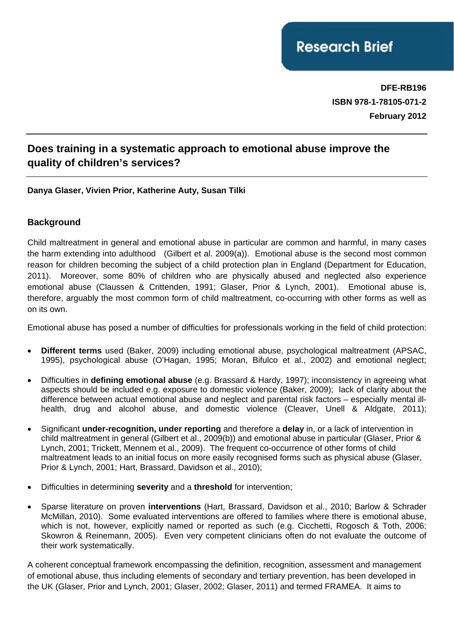**DFE-RB196 ISBN 978-1-78105-071-2 February 2012**

# **Does training in a systematic approach to emotional abuse improve the quality of children's services?**

### **Danya Glaser, Vivien Prior, Katherine Auty, Susan Tilki**

### **Background**

Child maltreatment in general and emotional abuse in particular are common and harmful, in many cases the harm extending into adulthood (Gilbert et al. 2009(a)). Emotional abuse is the second most common reason for children becoming the subject of a child protection plan in England (Department for Education, 2011). Moreover, some 80% of children who are physically abused and neglected also experience emotional abuse (Claussen & Crittenden, 1991; Glaser, Prior & Lynch, 2001). Emotional abuse is, therefore, arguably the most common form of child maltreatment, co-occurring with other forms as well as on its own.

Emotional abuse has posed a number of difficulties for professionals working in the field of child protection:

- **Different terms** used (Baker, 2009) including emotional abuse, psychological maltreatment (APSAC, 1995), psychological abuse (O'Hagan, 1995; Moran, Bifulco et al., 2002) and emotional neglect;
- Difficulties in **defining emotional abuse** (e.g. Brassard & Hardy, 1997); inconsistency in agreeing what aspects should be included e.g. exposure to domestic violence (Baker, 2009); lack of clarity about the difference between actual emotional abuse and neglect and parental risk factors – especially mental illhealth, drug and alcohol abuse, and domestic violence (Cleaver, Unell & Aldgate, 2011);
- Significant **under-recognition, under reporting** and therefore a **delay** in, or a lack of intervention in child maltreatment in general (Gilbert et al., 2009(b)) and emotional abuse in particular (Glaser, Prior & Lynch, 2001; Trickett, Mennem et al., 2009). The frequent co-occurrence of other forms of child maltreatment leads to an initial focus on more easily recognised forms such as physical abuse (Glaser, Prior & Lynch, 2001; Hart, Brassard, Davidson et al., 2010);
- Difficulties in determining **severity** and a **threshold** for intervention;
- Sparse literature on proven **interventions** (Hart, Brassard, Davidson et al., 2010; Barlow & Schrader McMillan, 2010). Some evaluated interventions are offered to families where there is emotional abuse, which is not, however, explicitly named or reported as such (e.g. Cicchetti, Rogosch & Toth, 2006; Skowron & Reinemann, 2005). Even very competent clinicians often do not evaluate the outcome of their work systematically.

A coherent conceptual framework encompassing the definition, recognition, assessment and management of emotional abuse, thus including elements of secondary and tertiary prevention, has been developed in the UK (Glaser, Prior and Lynch, 2001; Glaser, 2002; Glaser, 2011) and termed FRAMEA. It aims to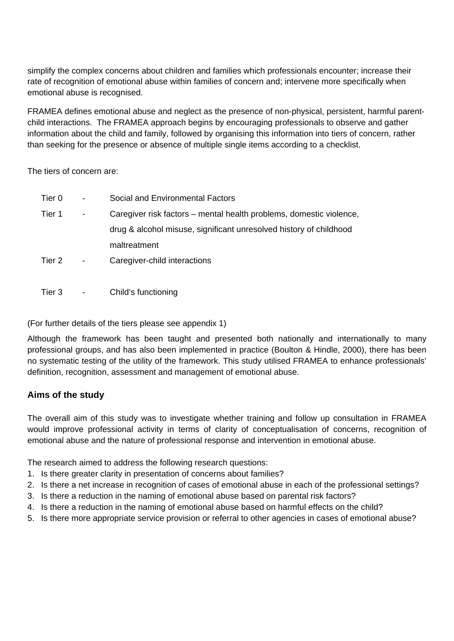simplify the complex concerns about children and families which professionals encounter; increase their rate of recognition of emotional abuse within families of concern and; intervene more specifically when emotional abuse is recognised.

FRAMEA defines emotional abuse and neglect as the presence of non-physical, persistent, harmful parentchild interactions. The FRAMEA approach begins by encouraging professionals to observe and gather information about the child and family, followed by organising this information into tiers of concern, rather than seeking for the presence or absence of multiple single items according to a checklist.

The tiers of concern are:

| Tier 0 | $\blacksquare$           | Social and Environmental Factors                                    |
|--------|--------------------------|---------------------------------------------------------------------|
| Tier 1 | $\overline{\phantom{0}}$ | Caregiver risk factors – mental health problems, domestic violence, |
|        |                          | drug & alcohol misuse, significant unresolved history of childhood  |
|        |                          | maltreatment                                                        |
| Tier 2 | $\overline{\phantom{a}}$ | Caregiver-child interactions                                        |
|        |                          |                                                                     |

Tier 3 - Child's functioning

(For further details of the tiers please see appendix 1)

Although the framework has been taught and presented both nationally and internationally to many professional groups, and has also been implemented in practice (Boulton & Hindle, 2000), there has been no systematic testing of the utility of the framework. This study utilised FRAMEA to enhance professionals' definition, recognition, assessment and management of emotional abuse.

# **Aims of the study**

The overall aim of this study was to investigate whether training and follow up consultation in FRAMEA would improve professional activity in terms of clarity of conceptualisation of concerns, recognition of emotional abuse and the nature of professional response and intervention in emotional abuse.

The research aimed to address the following research questions:

- 1. Is there greater clarity in presentation of concerns about families?
- 2. Is there a net increase in recognition of cases of emotional abuse in each of the professional settings?
- 3. Is there a reduction in the naming of emotional abuse based on parental risk factors?
- 4. Is there a reduction in the naming of emotional abuse based on harmful effects on the child?
- 5. Is there more appropriate service provision or referral to other agencies in cases of emotional abuse?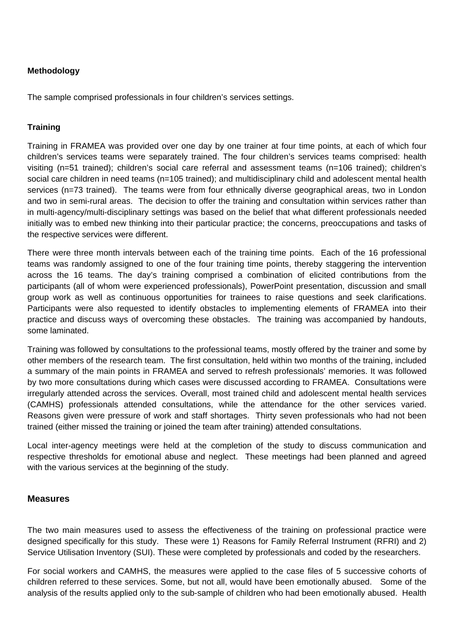### **Methodology**

The sample comprised professionals in four children's services settings.

#### **Training**

Training in FRAMEA was provided over one day by one trainer at four time points, at each of which four children's services teams were separately trained. The four children's services teams comprised: health visiting (n=51 trained); children's social care referral and assessment teams (n=106 trained); children's social care children in need teams (n=105 trained); and multidisciplinary child and adolescent mental health services (n=73 trained). The teams were from four ethnically diverse geographical areas, two in London and two in semi-rural areas. The decision to offer the training and consultation within services rather than in multi-agency/multi-disciplinary settings was based on the belief that what different professionals needed initially was to embed new thinking into their particular practice; the concerns, preoccupations and tasks of the respective services were different.

There were three month intervals between each of the training time points. Each of the 16 professional teams was randomly assigned to one of the four training time points, thereby staggering the intervention across the 16 teams. The day's training comprised a combination of elicited contributions from the participants (all of whom were experienced professionals), PowerPoint presentation, discussion and small group work as well as continuous opportunities for trainees to raise questions and seek clarifications. Participants were also requested to identify obstacles to implementing elements of FRAMEA into their practice and discuss ways of overcoming these obstacles. The training was accompanied by handouts, some laminated.

Training was followed by consultations to the professional teams, mostly offered by the trainer and some by other members of the research team. The first consultation, held within two months of the training, included a summary of the main points in FRAMEA and served to refresh professionals' memories. It was followed by two more consultations during which cases were discussed according to FRAMEA. Consultations were irregularly attended across the services. Overall, most trained child and adolescent mental health services (CAMHS) professionals attended consultations, while the attendance for the other services varied. Reasons given were pressure of work and staff shortages. Thirty seven professionals who had not been trained (either missed the training or joined the team after training) attended consultations.

Local inter-agency meetings were held at the completion of the study to discuss communication and respective thresholds for emotional abuse and neglect. These meetings had been planned and agreed with the various services at the beginning of the study.

#### **Measures**

The two main measures used to assess the effectiveness of the training on professional practice were designed specifically for this study. These were 1) Reasons for Family Referral Instrument (RFRI) and 2) Service Utilisation Inventory (SUI). These were completed by professionals and coded by the researchers.

For social workers and CAMHS, the measures were applied to the case files of 5 successive cohorts of children referred to these services. Some, but not all, would have been emotionally abused. Some of the analysis of the results applied only to the sub-sample of children who had been emotionally abused. Health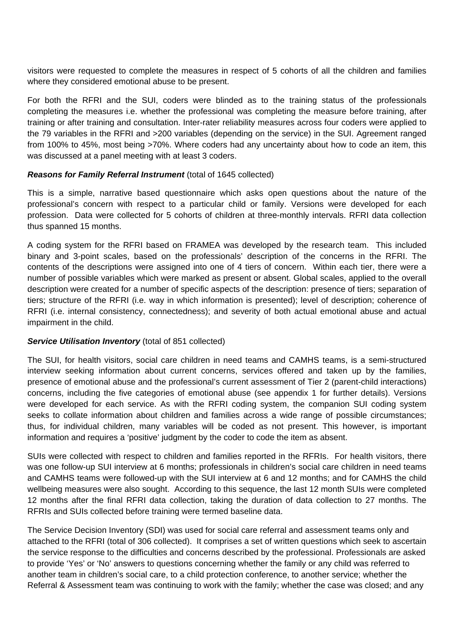visitors were requested to complete the measures in respect of 5 cohorts of all the children and families where they considered emotional abuse to be present.

For both the RFRI and the SUI, coders were blinded as to the training status of the professionals completing the measures i.e. whether the professional was completing the measure before training, after training or after training and consultation. Inter-rater reliability measures across four coders were applied to the 79 variables in the RFRI and >200 variables (depending on the service) in the SUI. Agreement ranged from 100% to 45%, most being >70%. Where coders had any uncertainty about how to code an item, this was discussed at a panel meeting with at least 3 coders.

### *Reasons for Family Referral Instrument* (total of 1645 collected)

This is a simple, narrative based questionnaire which asks open questions about the nature of the professional's concern with respect to a particular child or family. Versions were developed for each profession. Data were collected for 5 cohorts of children at three-monthly intervals. RFRI data collection thus spanned 15 months.

A coding system for the RFRI based on FRAMEA was developed by the research team. This included binary and 3-point scales, based on the professionals' description of the concerns in the RFRI. The contents of the descriptions were assigned into one of 4 tiers of concern. Within each tier, there were a number of possible variables which were marked as present or absent. Global scales, applied to the overall description were created for a number of specific aspects of the description: presence of tiers; separation of tiers; structure of the RFRI (i.e. way in which information is presented); level of description; coherence of RFRI (i.e. internal consistency, connectedness); and severity of both actual emotional abuse and actual impairment in the child.

#### **Service Utilisation Inventory** (total of 851 collected)

The SUI, for health visitors, social care children in need teams and CAMHS teams, is a semi-structured interview seeking information about current concerns, services offered and taken up by the families, presence of emotional abuse and the professional's current assessment of Tier 2 (parent-child interactions) concerns, including the five categories of emotional abuse (see appendix 1 for further details). Versions were developed for each service. As with the RFRI coding system, the companion SUI coding system seeks to collate information about children and families across a wide range of possible circumstances; thus, for individual children, many variables will be coded as not present. This however, is important information and requires a 'positive' judgment by the coder to code the item as absent.

SUIs were collected with respect to children and families reported in the RFRIs. For health visitors, there was one follow-up SUI interview at 6 months; professionals in children's social care children in need teams and CAMHS teams were followed-up with the SUI interview at 6 and 12 months; and for CAMHS the child wellbeing measures were also sought. According to this sequence, the last 12 month SUIs were completed 12 months after the final RFRI data collection, taking the duration of data collection to 27 months. The RFRIs and SUIs collected before training were termed baseline data.

The Service Decision Inventory (SDI) was used for social care referral and assessment teams only and attached to the RFRI (total of 306 collected). It comprises a set of written questions which seek to ascertain the service response to the difficulties and concerns described by the professional. Professionals are asked to provide 'Yes' or 'No' answers to questions concerning whether the family or any child was referred to another team in children's social care, to a child protection conference, to another service; whether the Referral & Assessment team was continuing to work with the family; whether the case was closed; and any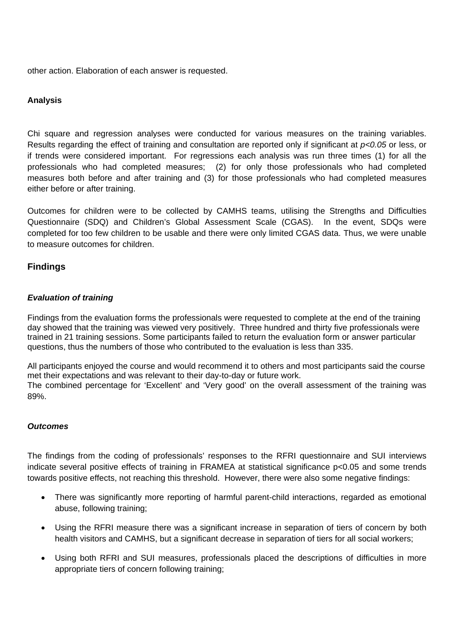other action. Elaboration of each answer is requested.

### **Analysis**

Chi square and regression analyses were conducted for various measures on the training variables. Results regarding the effect of training and consultation are reported only if significant at *p<0.05* or less, or if trends were considered important. For regressions each analysis was run three times (1) for all the professionals who had completed measures; (2) for only those professionals who had completed measures both before and after training and (3) for those professionals who had completed measures either before or after training.

Outcomes for children were to be collected by CAMHS teams, utilising the Strengths and Difficulties Questionnaire (SDQ) and Children's Global Assessment Scale (CGAS). In the event, SDQs were completed for too few children to be usable and there were only limited CGAS data. Thus, we were unable to measure outcomes for children.

### **Findings**

#### *Evaluation of training*

Findings from the evaluation forms the professionals were requested to complete at the end of the training day showed that the training was viewed very positively. Three hundred and thirty five professionals were trained in 21 training sessions. Some participants failed to return the evaluation form or answer particular questions, thus the numbers of those who contributed to the evaluation is less than 335.

All participants enjoyed the course and would recommend it to others and most participants said the course met their expectations and was relevant to their day-to-day or future work. The combined percentage for 'Excellent' and 'Very good' on the overall assessment of the training was 89%.

#### *Outcomes*

The findings from the coding of professionals' responses to the RFRI questionnaire and SUI interviews indicate several positive effects of training in FRAMEA at statistical significance p<0.05 and some trends towards positive effects, not reaching this threshold. However, there were also some negative findings:

- There was significantly more reporting of harmful parent-child interactions, regarded as emotional abuse, following training;
- Using the RFRI measure there was a significant increase in separation of tiers of concern by both health visitors and CAMHS, but a significant decrease in separation of tiers for all social workers;
- Using both RFRI and SUI measures, professionals placed the descriptions of difficulties in more appropriate tiers of concern following training;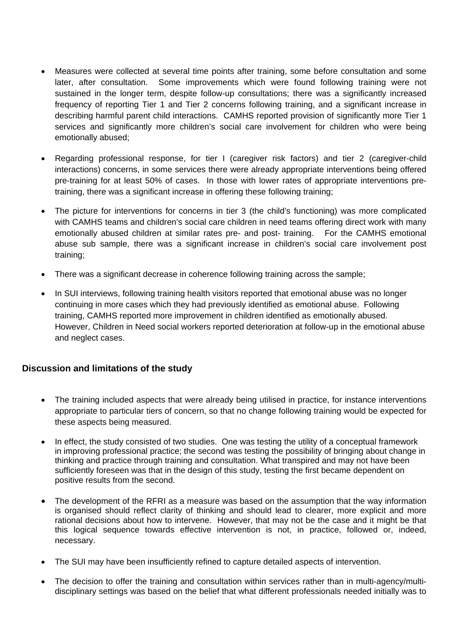- Measures were collected at several time points after training, some before consultation and some later, after consultation. Some improvements which were found following training were not sustained in the longer term, despite follow-up consultations; there was a significantly increased frequency of reporting Tier 1 and Tier 2 concerns following training, and a significant increase in describing harmful parent child interactions. CAMHS reported provision of significantly more Tier 1 services and significantly more children's social care involvement for children who were being emotionally abused;
- Regarding professional response, for tier I (caregiver risk factors) and tier 2 (caregiver-child interactions) concerns, in some services there were already appropriate interventions being offered pre-training for at least 50% of cases. In those with lower rates of appropriate interventions pretraining, there was a significant increase in offering these following training;
- The picture for interventions for concerns in tier 3 (the child's functioning) was more complicated with CAMHS teams and children's social care children in need teams offering direct work with many emotionally abused children at similar rates pre- and post- training. For the CAMHS emotional abuse sub sample, there was a significant increase in children's social care involvement post training;
- There was a significant decrease in coherence following training across the sample;
- In SUI interviews, following training health visitors reported that emotional abuse was no longer continuing in more cases which they had previously identified as emotional abuse. Following training, CAMHS reported more improvement in children identified as emotionally abused. However, Children in Need social workers reported deterioration at follow-up in the emotional abuse and neglect cases.

### **Discussion and limitations of the study**

- The training included aspects that were already being utilised in practice, for instance interventions appropriate to particular tiers of concern, so that no change following training would be expected for these aspects being measured.
- In effect, the study consisted of two studies. One was testing the utility of a conceptual framework in improving professional practice; the second was testing the possibility of bringing about change in thinking and practice through training and consultation. What transpired and may not have been sufficiently foreseen was that in the design of this study, testing the first became dependent on positive results from the second.
- The development of the RFRI as a measure was based on the assumption that the way information is organised should reflect clarity of thinking and should lead to clearer, more explicit and more rational decisions about how to intervene. However, that may not be the case and it might be that this logical sequence towards effective intervention is not, in practice, followed or, indeed, necessary.
- The SUI may have been insufficiently refined to capture detailed aspects of intervention.
- The decision to offer the training and consultation within services rather than in multi-agency/multidisciplinary settings was based on the belief that what different professionals needed initially was to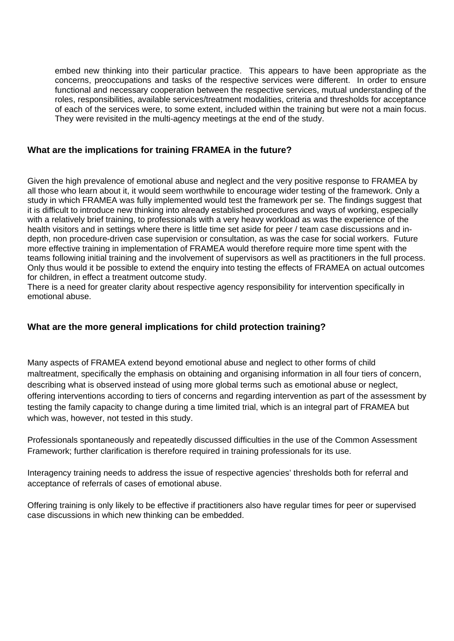embed new thinking into their particular practice. This appears to have been appropriate as the concerns, preoccupations and tasks of the respective services were different. In order to ensure functional and necessary cooperation between the respective services, mutual understanding of the roles, responsibilities, available services/treatment modalities, criteria and thresholds for acceptance of each of the services were, to some extent, included within the training but were not a main focus. They were revisited in the multi-agency meetings at the end of the study.

### **What are the implications for training FRAMEA in the future?**

Given the high prevalence of emotional abuse and neglect and the very positive response to FRAMEA by all those who learn about it, it would seem worthwhile to encourage wider testing of the framework. Only a study in which FRAMEA was fully implemented would test the framework per se. The findings suggest that it is difficult to introduce new thinking into already established procedures and ways of working, especially with a relatively brief training, to professionals with a very heavy workload as was the experience of the health visitors and in settings where there is little time set aside for peer / team case discussions and indepth, non procedure-driven case supervision or consultation, as was the case for social workers. Future more effective training in implementation of FRAMEA would therefore require more time spent with the teams following initial training and the involvement of supervisors as well as practitioners in the full process. Only thus would it be possible to extend the enquiry into testing the effects of FRAMEA on actual outcomes for children, in effect a treatment outcome study.

There is a need for greater clarity about respective agency responsibility for intervention specifically in emotional abuse.

### **What are the more general implications for child protection training?**

Many aspects of FRAMEA extend beyond emotional abuse and neglect to other forms of child maltreatment, specifically the emphasis on obtaining and organising information in all four tiers of concern, describing what is observed instead of using more global terms such as emotional abuse or neglect, offering interventions according to tiers of concerns and regarding intervention as part of the assessment by testing the family capacity to change during a time limited trial, which is an integral part of FRAMEA but which was, however, not tested in this study.

Professionals spontaneously and repeatedly discussed difficulties in the use of the Common Assessment Framework; further clarification is therefore required in training professionals for its use.

Interagency training needs to address the issue of respective agencies' thresholds both for referral and acceptance of referrals of cases of emotional abuse.

Offering training is only likely to be effective if practitioners also have regular times for peer or supervised case discussions in which new thinking can be embedded.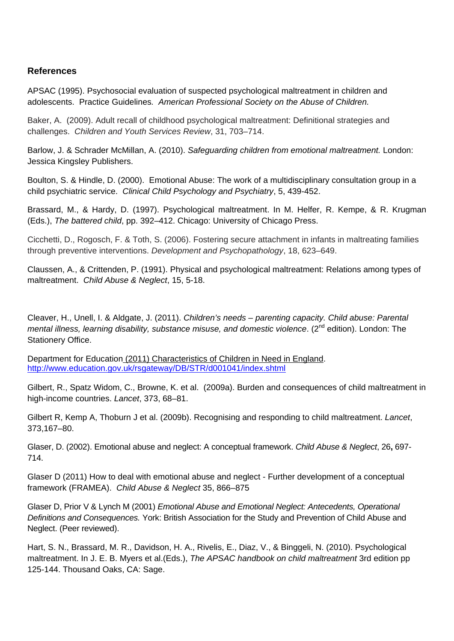### **References**

APSAC (1995). Psychosocial evaluation of suspected psychological maltreatment in children and adolescents. Practice Guidelines*. American Professional Society on the Abuse of Children.* 

Baker, A. (2009). Adult recall of childhood psychological maltreatment: Definitional strategies and challenges. *Children and Youth Services Review*, 31, 703–714.

Barlow, J. & Schrader McMillan, A. (2010). *Safeguarding children from emotional maltreatment.* London: Jessica Kingsley Publishers.

Boulton, S. & Hindle, D. (2000). Emotional Abuse: The work of a multidisciplinary consultation group in a child psychiatric service. *Clinical Child Psychology and Psychiatry*, 5, 439-452.

Brassard, M., & Hardy, D. (1997). Psychological maltreatment. In M. Helfer, R. Kempe, & R. Krugman (Eds.), *The battered child*, pp. 392–412. Chicago: University of Chicago Press.

Cicchetti, D., Rogosch, F. & Toth, S. (2006). Fostering secure attachment in infants in maltreating families through preventive interventions. *Development and Psychopathology*, 18, 623–649.

Claussen, A., & Crittenden, P. (1991). Physical and psychological maltreatment: Relations among types of maltreatment. *Child Abuse & Neglect*, 15, 5-18.

Cleaver, H., Unell, I. & Aldgate, J. (2011). *Children's needs – parenting capacity. Child abuse: Parental mental illness, learning disability, substance misuse, and domestic violence.* (2<sup>nd</sup> edition). London: The Stationery Office.

Department for Educatio[n \(2011\) Characteristics of Children in Need in England](http://www.education.gov.uk/rsgateway/DB/STR/d001041/index.shtml). <http://www.education.gov.uk/rsgateway/DB/STR/d001041/index.shtml>

Gilbert, R., Spatz Widom, C., Browne, K. et al. (2009a). Burden and consequences of child maltreatment in high-income countries. *Lancet*, 373, 68–81.

Gilbert R, Kemp A, Thoburn J et al. (2009b). Recognising and responding to child maltreatment. *Lancet*, 373,167–80.

Glaser, D. (2002). Emotional abuse and neglect: A conceptual framework. *Child Abuse & Neglect*, 26**,** 697- 714.

Glaser D (2011) How to deal with emotional abuse and neglect - Further development of a conceptual framework (FRAMEA). *Child Abuse & Neglect* 35, 866–875

Glaser D, Prior V & Lynch M (2001) *Emotional Abuse and Emotional Neglect: Antecedents, Operational Definitions and Consequences.* York: British Association for the Study and Prevention of Child Abuse and Neglect. (Peer reviewed).

Hart, S. N., Brassard, M. R., Davidson, H. A., Rivelis, E., Diaz, V., & Binggeli, N. (2010). Psychological maltreatment. In J. E. B. Myers et al.(Eds.), *The APSAC handbook on child maltreatment* 3rd edition pp 125-144. Thousand Oaks, CA: Sage.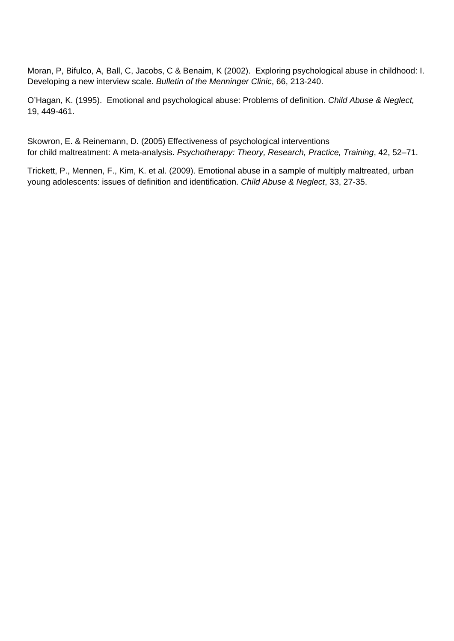Moran, P, Bifulco, A, Ball, C, Jacobs, C & Benaim, K (2002). Exploring psychological abuse in childhood: I. Developing a new interview scale. *Bulletin of the Menninger Clinic*, 66, 213-240.

O'Hagan, K. (1995). Emotional and psychological abuse: Problems of definition. *Child Abuse & Neglect,*  19, 449-461.

Skowron, E. & Reinemann, D. (2005) Effectiveness of psychological interventions for child maltreatment: A meta-analysis. *Psychotherapy: Theory, Research, Practice, Training*, 42, 52–71.

Trickett, P., Mennen, F., Kim, K. et al. (2009). Emotional abuse in a sample of multiply maltreated, urban young adolescents: issues of definition and identification. *Child Abuse & Neglect*, 33, 27-35.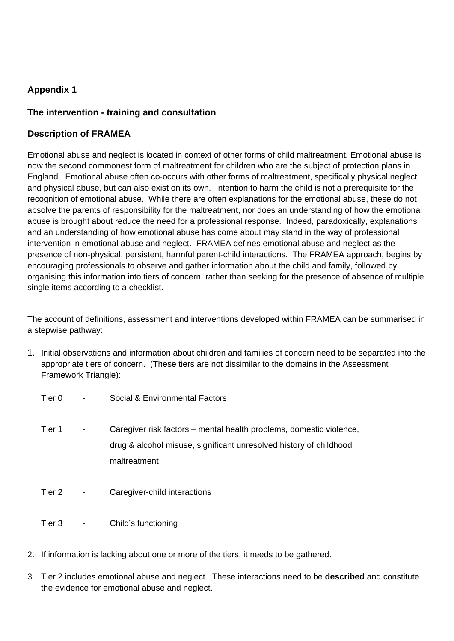# **Appendix 1**

## **The intervention - training and consultation**

### **Description of FRAMEA**

Emotional abuse and neglect is located in context of other forms of child maltreatment. Emotional abuse is now the second commonest form of maltreatment for children who are the subject of protection plans in England. Emotional abuse often co-occurs with other forms of maltreatment, specifically physical neglect and physical abuse, but can also exist on its own. Intention to harm the child is not a prerequisite for the recognition of emotional abuse. While there are often explanations for the emotional abuse, these do not absolve the parents of responsibility for the maltreatment, nor does an understanding of how the emotional abuse is brought about reduce the need for a professional response. Indeed, paradoxically, explanations and an understanding of how emotional abuse has come about may stand in the way of professional intervention in emotional abuse and neglect. FRAMEA defines emotional abuse and neglect as the presence of non-physical, persistent, harmful parent-child interactions. The FRAMEA approach, begins by encouraging professionals to observe and gather information about the child and family, followed by organising this information into tiers of concern, rather than seeking for the presence of absence of multiple single items according to a checklist.

The account of definitions, assessment and interventions developed within FRAMEA can be summarised in a stepwise pathway:

- 1. Initial observations and information about children and families of concern need to be separated into the appropriate tiers of concern. (These tiers are not dissimilar to the domains in the Assessment Framework Triangle):
	- Tier 0 Social & Environmental Factors
	- Tier 1 Caregiver risk factors mental health problems, domestic violence, drug & alcohol misuse, significant unresolved history of childhood maltreatment
	- Tier 2 Caregiver-child interactions
	- Tier 3 Child's functioning
- 2. If information is lacking about one or more of the tiers, it needs to be gathered.
- 3. Tier 2 includes emotional abuse and neglect. These interactions need to be **described** and constitute the evidence for emotional abuse and neglect.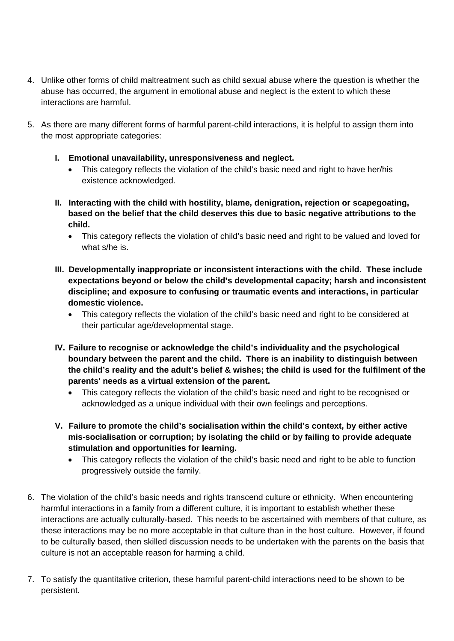- 4. Unlike other forms of child maltreatment such as child sexual abuse where the question is whether the abuse has occurred, the argument in emotional abuse and neglect is the extent to which these interactions are harmful.
- 5. As there are many different forms of harmful parent-child interactions, it is helpful to assign them into the most appropriate categories:
	- **I. Emotional unavailability, unresponsiveness and neglect.** 
		- This category reflects the violation of the child's basic need and right to have her/his existence acknowledged.
	- **II. Interacting with the child with hostility, blame, denigration, rejection or scapegoating, based on the belief that the child deserves this due to basic negative attributions to the child.** 
		- This category reflects the violation of child's basic need and right to be valued and loved for what s/he is.
	- **III. Developmentally inappropriate or inconsistent interactions with the child. These include expectations beyond or below the child's developmental capacity; harsh and inconsistent discipline; and exposure to confusing or traumatic events and interactions, in particular domestic violence.** 
		- This category reflects the violation of the child's basic need and right to be considered at their particular age/developmental stage.
	- **IV. Failure to recognise or acknowledge the child's individuality and the psychological boundary between the parent and the child. There is an inability to distinguish between the child's reality and the adult's belief & wishes; the child is used for the fulfilment of the parents' needs as a virtual extension of the parent.** 
		- This category reflects the violation of the child's basic need and right to be recognised or acknowledged as a unique individual with their own feelings and perceptions.
	- **V. Failure to promote the child's socialisation within the child's context, by either active mis-socialisation or corruption; by isolating the child or by failing to provide adequate stimulation and opportunities for learning.** 
		- This category reflects the violation of the child's basic need and right to be able to function progressively outside the family.
- 6. The violation of the child's basic needs and rights transcend culture or ethnicity. When encountering harmful interactions in a family from a different culture, it is important to establish whether these interactions are actually culturally-based. This needs to be ascertained with members of that culture, as these interactions may be no more acceptable in that culture than in the host culture. However, if found to be culturally based, then skilled discussion needs to be undertaken with the parents on the basis that culture is not an acceptable reason for harming a child.
- 7. To satisfy the quantitative criterion, these harmful parent-child interactions need to be shown to be persistent.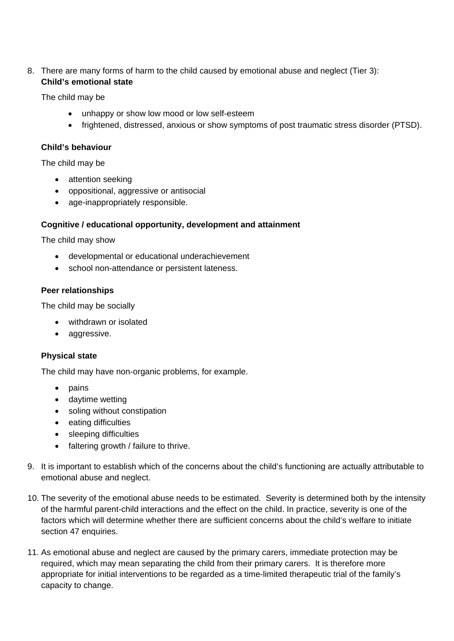### 8. There are many forms of harm to the child caused by emotional abuse and neglect (Tier 3): **Child's emotional state**

The child may be

- unhappy or show low mood or low self-esteem
- frightened, distressed, anxious or show symptoms of post traumatic stress disorder (PTSD).

#### **Child's behaviour**

The child may be

- attention seeking
- oppositional, aggressive or antisocial
- age-inappropriately responsible.

### **Cognitive / educational opportunity, development and attainment**

The child may show

- developmental or educational underachievement
- school non-attendance or persistent lateness.

### **Peer relationships**

The child may be socially

- withdrawn or isolated
- aggressive.

### **Physical state**

The child may have non-organic problems, for example.

- pains
- daytime wetting
- soling without constipation
- eating difficulties
- sleeping difficulties
- faltering growth / failure to thrive.
- 9. It is important to establish which of the concerns about the child's functioning are actually attributable to emotional abuse and neglect.
- 10. The severity of the emotional abuse needs to be estimated. Severity is determined both by the intensity of the harmful parent-child interactions and the effect on the child. In practice, severity is one of the factors which will determine whether there are sufficient concerns about the child's welfare to initiate section 47 enquiries.
- 11. As emotional abuse and neglect are caused by the primary carers, immediate protection may be required, which may mean separating the child from their primary carers. It is therefore more appropriate for initial interventions to be regarded as a time-limited therapeutic trial of the family's capacity to change.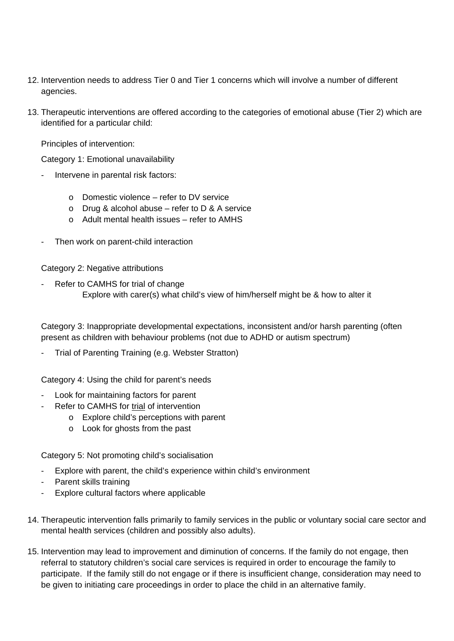- 12. Intervention needs to address Tier 0 and Tier 1 concerns which will involve a number of different agencies.
- 13. Therapeutic interventions are offered according to the categories of emotional abuse (Tier 2) which are identified for a particular child:

Principles of intervention:

Category 1: Emotional unavailability

- Intervene in parental risk factors:
	- $\circ$  Domestic violence refer to DV service
	- o Drug & alcohol abuse refer to  $D$  & A service
	- o Adult mental health issues refer to AMHS
- Then work on parent-child interaction

Category 2: Negative attributions

Refer to CAMHS for trial of change Explore with carer(s) what child's view of him/herself might be & how to alter it

Category 3: Inappropriate developmental expectations, inconsistent and/or harsh parenting (often present as children with behaviour problems (not due to ADHD or autism spectrum)

Trial of Parenting Training (e.g. Webster Stratton)

Category 4: Using the child for parent's needs

- Look for maintaining factors for parent
- Refer to CAMHS for trial of intervention
	- o Explore child's perceptions with parent
	- o Look for ghosts from the past

Category 5: Not promoting child's socialisation

- Explore with parent, the child's experience within child's environment
- Parent skills training
- Explore cultural factors where applicable
- 14. Therapeutic intervention falls primarily to family services in the public or voluntary social care sector and mental health services (children and possibly also adults).
- 15. Intervention may lead to improvement and diminution of concerns. If the family do not engage, then referral to statutory children's social care services is required in order to encourage the family to participate. If the family still do not engage or if there is insufficient change, consideration may need to be given to initiating care proceedings in order to place the child in an alternative family.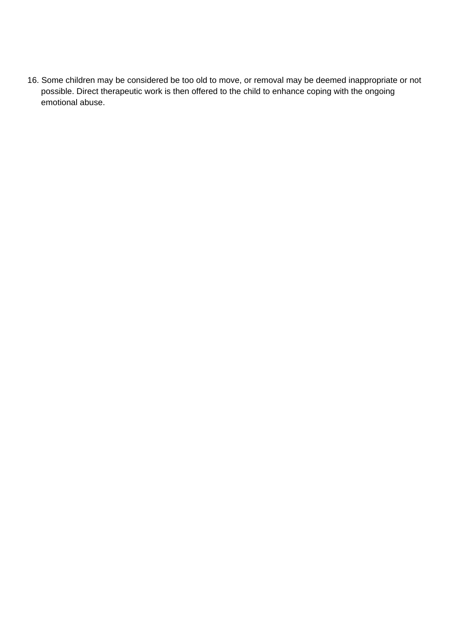16. Some children may be considered be too old to move, or removal may be deemed inappropriate or not possible. Direct therapeutic work is then offered to the child to enhance coping with the ongoing emotional abuse.